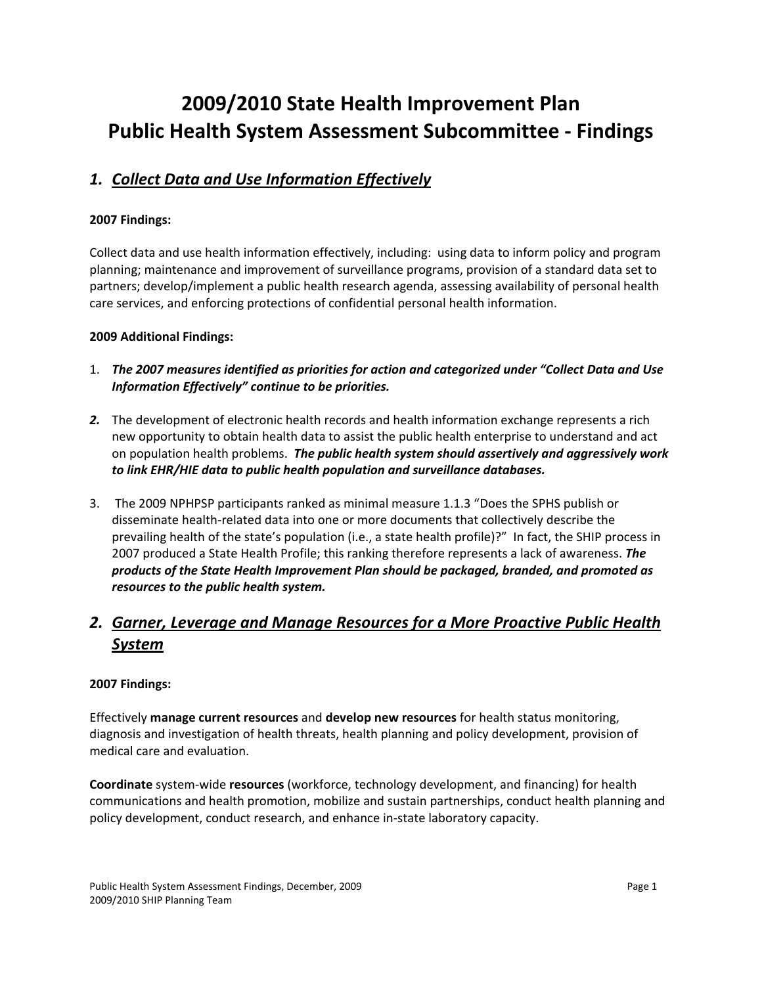# **2009/2010 State Health Improvement Plan Public Health System Assessment Subcommittee ‐ Findings**

### *1. Collect Data and Use Information Effectively*

#### **2007 Findings:**

Collect data and use health information effectively, including: using data to inform policy and program planning; maintenance and improvement of surveillance programs, provision of a standard data set to partners; develop/implement a public health research agenda, assessing availability of personal health care services, and enforcing protections of confidential personal health information.

#### **2009 Additional Findings:**

- 1. *The 2007 measures identified as priorities for action and categorized under "Collect Data and Use Information Effectively" continue to be priorities.*
- *2.* The development of electronic health records and health information exchange represents a rich new opportunity to obtain health data to assist the public health enterprise to understand and act on population health problems. *The public health system should assertively and aggressively work to link EHR/HIE data to public health population and surveillance databases.*
- 3. The 2009 NPHPSP participants ranked as minimal measure 1.1.3 "Does the SPHS publish or disseminate health‐related data into one or more documents that collectively describe the prevailing health of the state's population (i.e., a state health profile)?" In fact, the SHIP process in 2007 produced a State Health Profile; this ranking therefore represents a lack of awareness. *The products of the State Health Improvement Plan should be packaged, branded, and promoted as resources to the public health system.*

# *2. Garner, Leverage and Manage Resources for a More Proactive Public Health System*

#### **2007 Findings:**

Effectively **manage current resources** and **develop new resources** for health status monitoring, diagnosis and investigation of health threats, health planning and policy development, provision of medical care and evaluation.

**Coordinate** system‐wide **resources** (workforce, technology development, and financing) for health communications and health promotion, mobilize and sustain partnerships, conduct health planning and policy development, conduct research, and enhance in‐state laboratory capacity.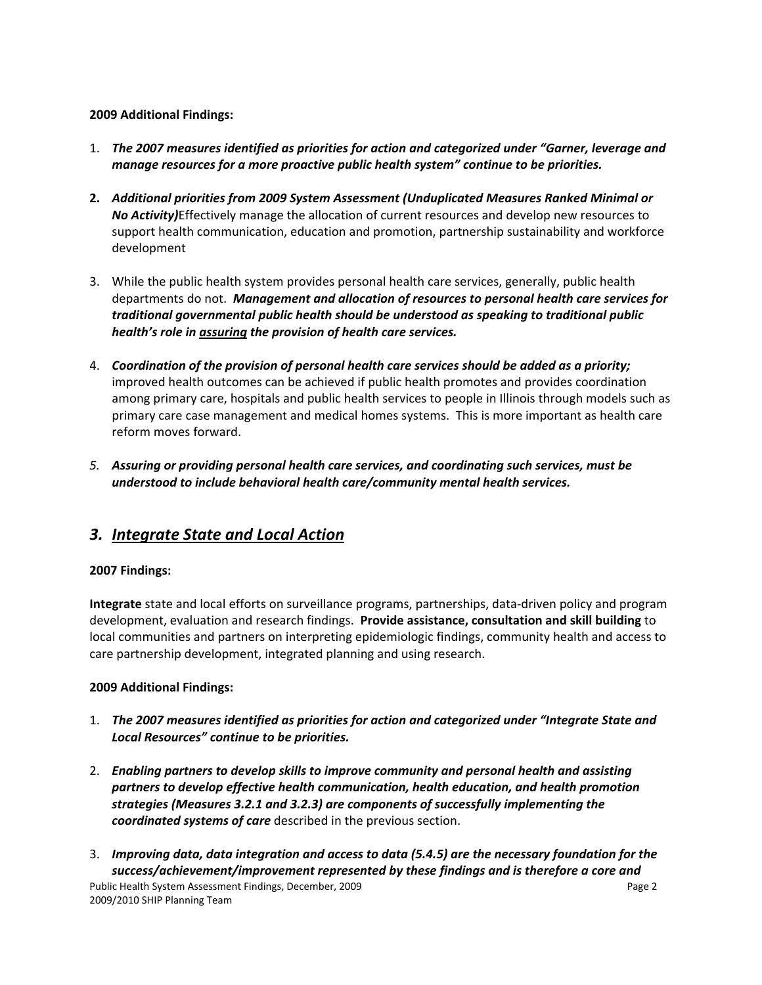#### **2009 Additional Findings:**

- 1. *The 2007 measures identified as priorities for action and categorized under "Garner, leverage and manage resources for a more proactive public health system" continue to be priorities.*
- **2.** *Additional priorities from 2009 System Assessment (Unduplicated Measures Ranked Minimal or No Activity)*Effectively manage the allocation of current resources and develop new resources to support health communication, education and promotion, partnership sustainability and workforce development
- 3. While the public health system provides personal health care services, generally, public health departments do not. *Management and allocation of resources to personal health care services for traditional governmental public health should be understood as speaking to traditional public health's role in assuring the provision of health care services.*
- 4. *Coordination of the provision of personal health care services should be added as a priority;* improved health outcomes can be achieved if public health promotes and provides coordination among primary care, hospitals and public health services to people in Illinois through models such as primary care case management and medical homes systems. This is more important as health care reform moves forward.
- *5. Assuring or providing personal health care services, and coordinating such services, must be understood to include behavioral health care/community mental health services.*

### *3. Integrate State and Local Action*

#### **2007 Findings:**

**Integrate** state and local efforts on surveillance programs, partnerships, data-driven policy and program development, evaluation and research findings. **Provide assistance, consultation and skill building** to local communities and partners on interpreting epidemiologic findings, community health and access to care partnership development, integrated planning and using research.

#### **2009 Additional Findings:**

- 1. *The 2007 measures identified as priorities for action and categorized under "Integrate State and Local Resources" continue to be priorities.*
- 2. *Enabling partners to develop skills to improve community and personal health and assisting partners to develop effective health communication, health education, and health promotion strategies (Measures 3.2.1 and 3.2.3) are components of successfully implementing the coordinated systems of care* described in the previous section.
- Public Health System Assessment Findings, December, 2009 Page 2 2009/2010 SHIP Planning Team 3. *Improving data, data integration and access to data (5.4.5) are the necessary foundation for the success/achievement/improvement represented by these findings and is therefore a core and*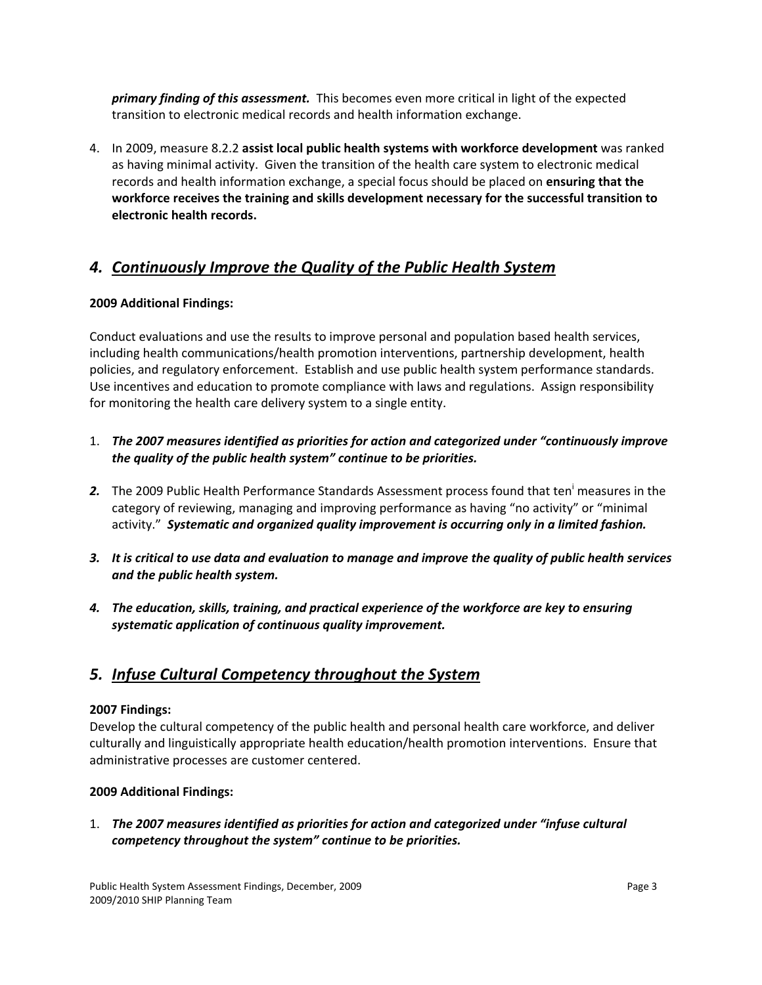*primary finding of this assessment.* This becomes even more critical in light of the expected transition to electronic medical records and health information exchange.

4. In 2009, measure 8.2.2 **assist local public health systems with workforce development** was ranked as having minimal activity. Given the transition of the health care system to electronic medical records and health information exchange, a special focus should be placed on **ensuring that the workforce receives the training and skills development necessary for the successful transition to electronic health records.**

### *4. Continuously Improve the Quality of the Public Health System*

#### **2009 Additional Findings:**

Conduct evaluations and use the results to improve personal and population based health services, including health communications/health promotion interventions, partnership development, health policies, and regulatory enforcement. Establish and use public health system performance standards. Use incentives and education to promote compliance with laws and regulations. Assign responsibility for monitoring the health care delivery system to a single entity.

- 1. *The 2007 measures identified as priorities for action and categorized under "continuously improve the quality of the public health system" continue to be priorities.*
- 2. The 2009 Public Health Performance Standards Assessment process found that ten<sup>i</sup> measures in the category of reviewing, managing and improving performance as having "no activity" or "minimal activity." *Systematic and organized quality improvement is occurring only in a limited fashion.*
- 3. It is critical to use data and evaluation to manage and improve the quality of public health services *and the public health system.*
- *4. The education, skills, training, and practical experience of the workforce are key to ensuring systematic application of continuous quality improvement.*

### *5. Infuse Cultural Competency throughout the System*

#### **2007 Findings:**

Develop the cultural competency of the public health and personal health care workforce, and deliver culturally and linguistically appropriate health education/health promotion interventions. Ensure that administrative processes are customer centered.

#### **2009 Additional Findings:**

1. *The 2007 measures identified as priorities for action and categorized under "infuse cultural competency throughout the system" continue to be priorities.*